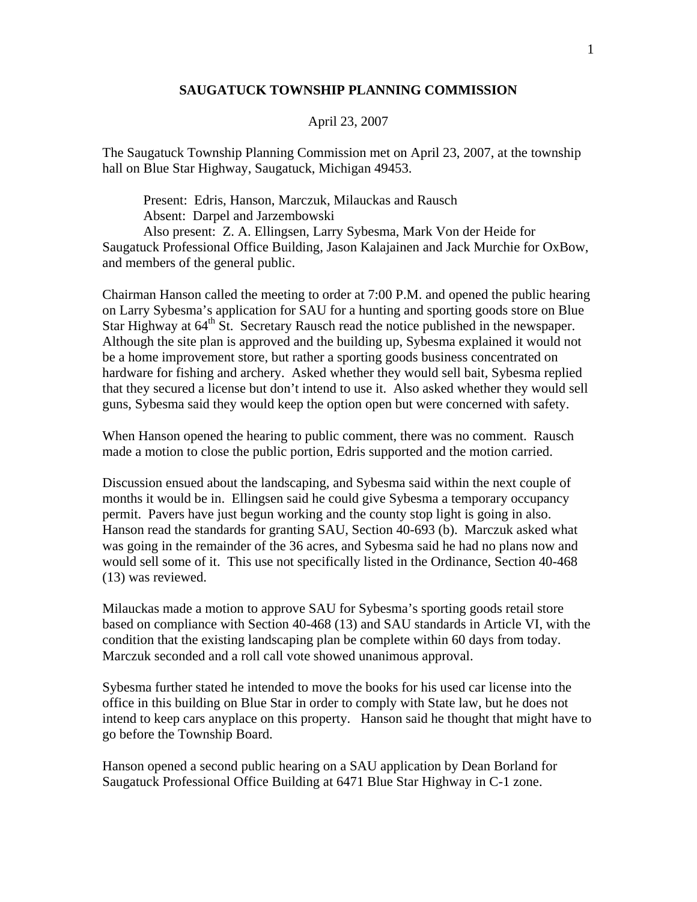## **SAUGATUCK TOWNSHIP PLANNING COMMISSION**

## April 23, 2007

The Saugatuck Township Planning Commission met on April 23, 2007, at the township hall on Blue Star Highway, Saugatuck, Michigan 49453.

 Present: Edris, Hanson, Marczuk, Milauckas and Rausch Absent: Darpel and Jarzembowski Also present: Z. A. Ellingsen, Larry Sybesma, Mark Von der Heide for Saugatuck Professional Office Building, Jason Kalajainen and Jack Murchie for OxBow, and members of the general public.

Chairman Hanson called the meeting to order at 7:00 P.M. and opened the public hearing on Larry Sybesma's application for SAU for a hunting and sporting goods store on Blue Star Highway at 64<sup>th</sup> St. Secretary Rausch read the notice published in the newspaper. Although the site plan is approved and the building up, Sybesma explained it would not be a home improvement store, but rather a sporting goods business concentrated on hardware for fishing and archery. Asked whether they would sell bait, Sybesma replied that they secured a license but don't intend to use it. Also asked whether they would sell guns, Sybesma said they would keep the option open but were concerned with safety.

When Hanson opened the hearing to public comment, there was no comment. Rausch made a motion to close the public portion, Edris supported and the motion carried.

Discussion ensued about the landscaping, and Sybesma said within the next couple of months it would be in. Ellingsen said he could give Sybesma a temporary occupancy permit. Pavers have just begun working and the county stop light is going in also. Hanson read the standards for granting SAU, Section 40-693 (b). Marczuk asked what was going in the remainder of the 36 acres, and Sybesma said he had no plans now and would sell some of it. This use not specifically listed in the Ordinance, Section 40-468 (13) was reviewed.

Milauckas made a motion to approve SAU for Sybesma's sporting goods retail store based on compliance with Section 40-468 (13) and SAU standards in Article VI, with the condition that the existing landscaping plan be complete within 60 days from today. Marczuk seconded and a roll call vote showed unanimous approval.

Sybesma further stated he intended to move the books for his used car license into the office in this building on Blue Star in order to comply with State law, but he does not intend to keep cars anyplace on this property. Hanson said he thought that might have to go before the Township Board.

Hanson opened a second public hearing on a SAU application by Dean Borland for Saugatuck Professional Office Building at 6471 Blue Star Highway in C-1 zone.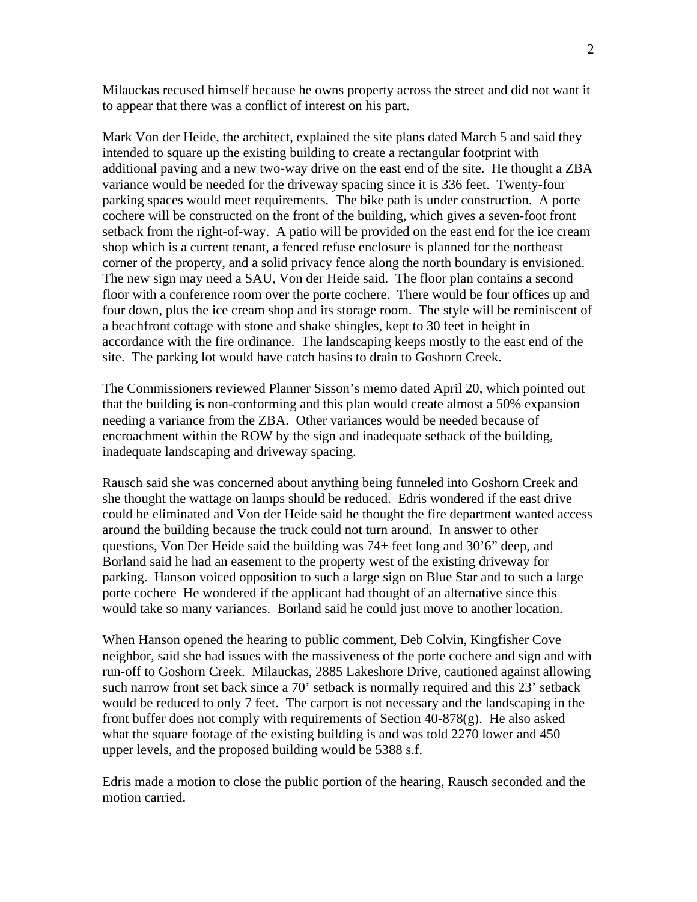Milauckas recused himself because he owns property across the street and did not want it to appear that there was a conflict of interest on his part.

Mark Von der Heide, the architect, explained the site plans dated March 5 and said they intended to square up the existing building to create a rectangular footprint with additional paving and a new two-way drive on the east end of the site. He thought a ZBA variance would be needed for the driveway spacing since it is 336 feet. Twenty-four parking spaces would meet requirements. The bike path is under construction. A porte cochere will be constructed on the front of the building, which gives a seven-foot front setback from the right-of-way. A patio will be provided on the east end for the ice cream shop which is a current tenant, a fenced refuse enclosure is planned for the northeast corner of the property, and a solid privacy fence along the north boundary is envisioned. The new sign may need a SAU, Von der Heide said. The floor plan contains a second floor with a conference room over the porte cochere. There would be four offices up and four down, plus the ice cream shop and its storage room. The style will be reminiscent of a beachfront cottage with stone and shake shingles, kept to 30 feet in height in accordance with the fire ordinance. The landscaping keeps mostly to the east end of the site. The parking lot would have catch basins to drain to Goshorn Creek.

The Commissioners reviewed Planner Sisson's memo dated April 20, which pointed out that the building is non-conforming and this plan would create almost a 50% expansion needing a variance from the ZBA. Other variances would be needed because of encroachment within the ROW by the sign and inadequate setback of the building, inadequate landscaping and driveway spacing.

Rausch said she was concerned about anything being funneled into Goshorn Creek and she thought the wattage on lamps should be reduced. Edris wondered if the east drive could be eliminated and Von der Heide said he thought the fire department wanted access around the building because the truck could not turn around. In answer to other questions, Von Der Heide said the building was 74+ feet long and 30'6" deep, and Borland said he had an easement to the property west of the existing driveway for parking. Hanson voiced opposition to such a large sign on Blue Star and to such a large porte cochere He wondered if the applicant had thought of an alternative since this would take so many variances. Borland said he could just move to another location.

When Hanson opened the hearing to public comment, Deb Colvin, Kingfisher Cove neighbor, said she had issues with the massiveness of the porte cochere and sign and with run-off to Goshorn Creek. Milauckas, 2885 Lakeshore Drive, cautioned against allowing such narrow front set back since a 70' setback is normally required and this 23' setback would be reduced to only 7 feet. The carport is not necessary and the landscaping in the front buffer does not comply with requirements of Section  $40-878(g)$ . He also asked what the square footage of the existing building is and was told 2270 lower and 450 upper levels, and the proposed building would be 5388 s.f.

Edris made a motion to close the public portion of the hearing, Rausch seconded and the motion carried.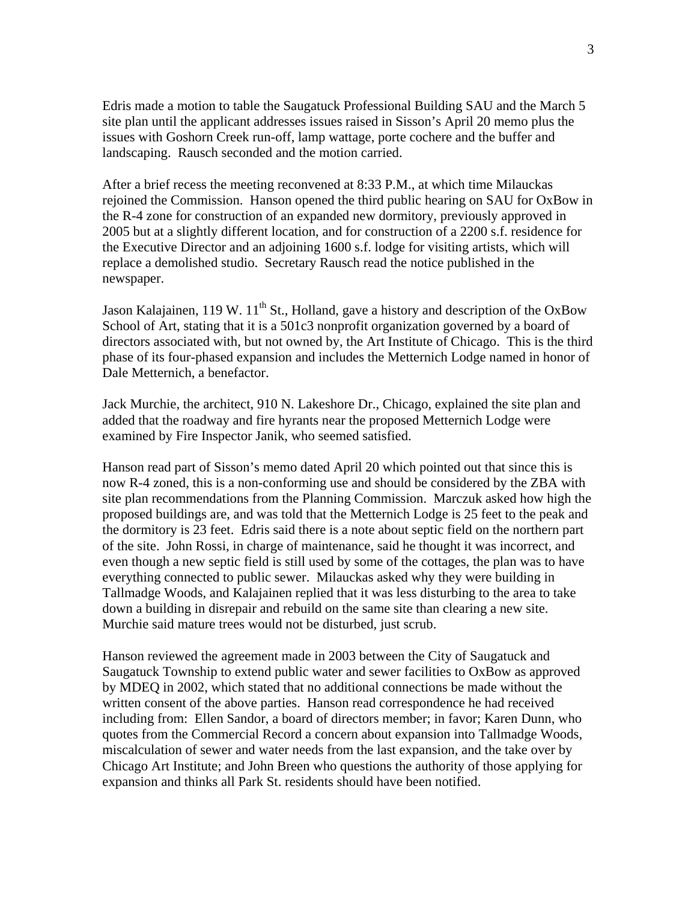Edris made a motion to table the Saugatuck Professional Building SAU and the March 5 site plan until the applicant addresses issues raised in Sisson's April 20 memo plus the issues with Goshorn Creek run-off, lamp wattage, porte cochere and the buffer and landscaping. Rausch seconded and the motion carried.

After a brief recess the meeting reconvened at 8:33 P.M., at which time Milauckas rejoined the Commission. Hanson opened the third public hearing on SAU for OxBow in the R-4 zone for construction of an expanded new dormitory, previously approved in 2005 but at a slightly different location, and for construction of a 2200 s.f. residence for the Executive Director and an adjoining 1600 s.f. lodge for visiting artists, which will replace a demolished studio. Secretary Rausch read the notice published in the newspaper.

Jason Kalajainen, 119 W.  $11^{th}$  St., Holland, gave a history and description of the OxBow School of Art, stating that it is a 501c3 nonprofit organization governed by a board of directors associated with, but not owned by, the Art Institute of Chicago. This is the third phase of its four-phased expansion and includes the Metternich Lodge named in honor of Dale Metternich, a benefactor.

Jack Murchie, the architect, 910 N. Lakeshore Dr., Chicago, explained the site plan and added that the roadway and fire hyrants near the proposed Metternich Lodge were examined by Fire Inspector Janik, who seemed satisfied.

Hanson read part of Sisson's memo dated April 20 which pointed out that since this is now R-4 zoned, this is a non-conforming use and should be considered by the ZBA with site plan recommendations from the Planning Commission. Marczuk asked how high the proposed buildings are, and was told that the Metternich Lodge is 25 feet to the peak and the dormitory is 23 feet. Edris said there is a note about septic field on the northern part of the site. John Rossi, in charge of maintenance, said he thought it was incorrect, and even though a new septic field is still used by some of the cottages, the plan was to have everything connected to public sewer. Milauckas asked why they were building in Tallmadge Woods, and Kalajainen replied that it was less disturbing to the area to take down a building in disrepair and rebuild on the same site than clearing a new site. Murchie said mature trees would not be disturbed, just scrub.

Hanson reviewed the agreement made in 2003 between the City of Saugatuck and Saugatuck Township to extend public water and sewer facilities to OxBow as approved by MDEQ in 2002, which stated that no additional connections be made without the written consent of the above parties. Hanson read correspondence he had received including from: Ellen Sandor, a board of directors member; in favor; Karen Dunn, who quotes from the Commercial Record a concern about expansion into Tallmadge Woods, miscalculation of sewer and water needs from the last expansion, and the take over by Chicago Art Institute; and John Breen who questions the authority of those applying for expansion and thinks all Park St. residents should have been notified.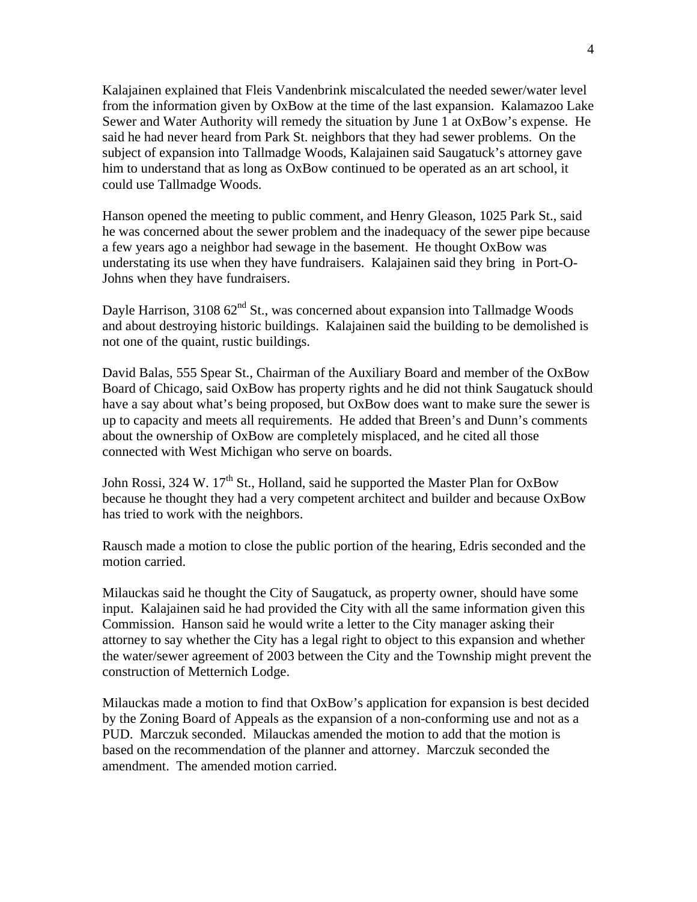Kalajainen explained that Fleis Vandenbrink miscalculated the needed sewer/water level from the information given by OxBow at the time of the last expansion. Kalamazoo Lake Sewer and Water Authority will remedy the situation by June 1 at OxBow's expense. He said he had never heard from Park St. neighbors that they had sewer problems. On the subject of expansion into Tallmadge Woods, Kalajainen said Saugatuck's attorney gave him to understand that as long as OxBow continued to be operated as an art school, it could use Tallmadge Woods.

Hanson opened the meeting to public comment, and Henry Gleason, 1025 Park St., said he was concerned about the sewer problem and the inadequacy of the sewer pipe because a few years ago a neighbor had sewage in the basement. He thought OxBow was understating its use when they have fundraisers. Kalajainen said they bring in Port-O-Johns when they have fundraisers.

Dayle Harrison,  $310862<sup>nd</sup>$  St., was concerned about expansion into Tallmadge Woods and about destroying historic buildings. Kalajainen said the building to be demolished is not one of the quaint, rustic buildings.

David Balas, 555 Spear St., Chairman of the Auxiliary Board and member of the OxBow Board of Chicago, said OxBow has property rights and he did not think Saugatuck should have a say about what's being proposed, but OxBow does want to make sure the sewer is up to capacity and meets all requirements. He added that Breen's and Dunn's comments about the ownership of OxBow are completely misplaced, and he cited all those connected with West Michigan who serve on boards.

John Rossi, 324 W. 17<sup>th</sup> St., Holland, said he supported the Master Plan for OxBow because he thought they had a very competent architect and builder and because OxBow has tried to work with the neighbors.

Rausch made a motion to close the public portion of the hearing, Edris seconded and the motion carried.

Milauckas said he thought the City of Saugatuck, as property owner, should have some input. Kalajainen said he had provided the City with all the same information given this Commission. Hanson said he would write a letter to the City manager asking their attorney to say whether the City has a legal right to object to this expansion and whether the water/sewer agreement of 2003 between the City and the Township might prevent the construction of Metternich Lodge.

Milauckas made a motion to find that OxBow's application for expansion is best decided by the Zoning Board of Appeals as the expansion of a non-conforming use and not as a PUD. Marczuk seconded. Milauckas amended the motion to add that the motion is based on the recommendation of the planner and attorney. Marczuk seconded the amendment. The amended motion carried.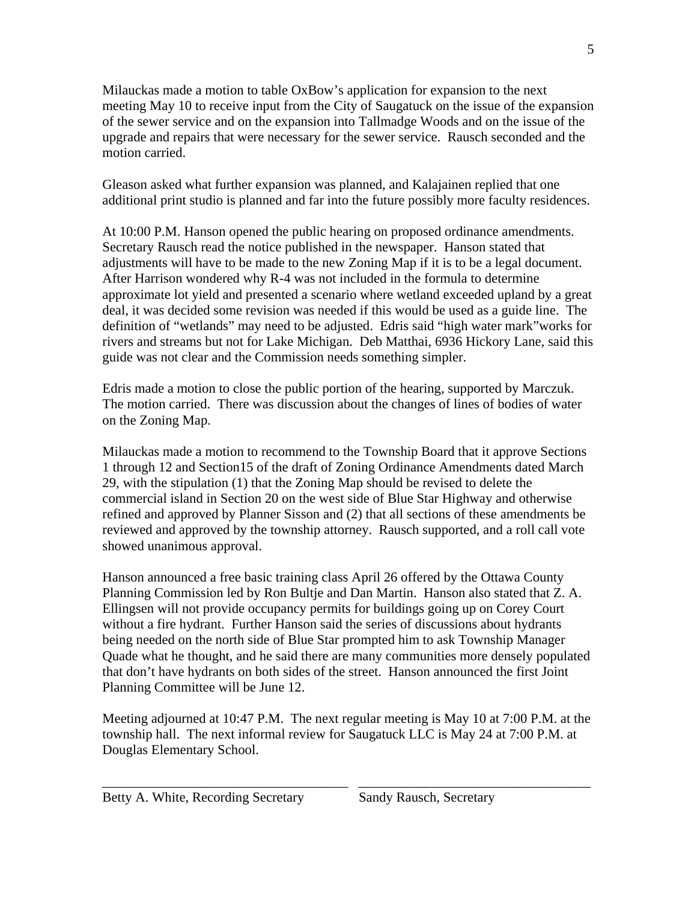Milauckas made a motion to table OxBow's application for expansion to the next meeting May 10 to receive input from the City of Saugatuck on the issue of the expansion of the sewer service and on the expansion into Tallmadge Woods and on the issue of the upgrade and repairs that were necessary for the sewer service. Rausch seconded and the motion carried.

Gleason asked what further expansion was planned, and Kalajainen replied that one additional print studio is planned and far into the future possibly more faculty residences.

At 10:00 P.M. Hanson opened the public hearing on proposed ordinance amendments. Secretary Rausch read the notice published in the newspaper. Hanson stated that adjustments will have to be made to the new Zoning Map if it is to be a legal document. After Harrison wondered why R-4 was not included in the formula to determine approximate lot yield and presented a scenario where wetland exceeded upland by a great deal, it was decided some revision was needed if this would be used as a guide line. The definition of "wetlands" may need to be adjusted. Edris said "high water mark"works for rivers and streams but not for Lake Michigan. Deb Matthai, 6936 Hickory Lane, said this guide was not clear and the Commission needs something simpler.

Edris made a motion to close the public portion of the hearing, supported by Marczuk. The motion carried. There was discussion about the changes of lines of bodies of water on the Zoning Map.

Milauckas made a motion to recommend to the Township Board that it approve Sections 1 through 12 and Section15 of the draft of Zoning Ordinance Amendments dated March 29, with the stipulation (1) that the Zoning Map should be revised to delete the commercial island in Section 20 on the west side of Blue Star Highway and otherwise refined and approved by Planner Sisson and (2) that all sections of these amendments be reviewed and approved by the township attorney. Rausch supported, and a roll call vote showed unanimous approval.

Hanson announced a free basic training class April 26 offered by the Ottawa County Planning Commission led by Ron Bultje and Dan Martin. Hanson also stated that Z. A. Ellingsen will not provide occupancy permits for buildings going up on Corey Court without a fire hydrant. Further Hanson said the series of discussions about hydrants being needed on the north side of Blue Star prompted him to ask Township Manager Quade what he thought, and he said there are many communities more densely populated that don't have hydrants on both sides of the street. Hanson announced the first Joint Planning Committee will be June 12.

Meeting adjourned at 10:47 P.M. The next regular meeting is May 10 at 7:00 P.M. at the township hall. The next informal review for Saugatuck LLC is May 24 at 7:00 P.M. at Douglas Elementary School.

\_\_\_\_\_\_\_\_\_\_\_\_\_\_\_\_\_\_\_\_\_\_\_\_\_\_\_\_\_\_\_\_\_\_\_\_ \_\_\_\_\_\_\_\_\_\_\_\_\_\_\_\_\_\_\_\_\_\_\_\_\_\_\_\_\_\_\_\_\_\_